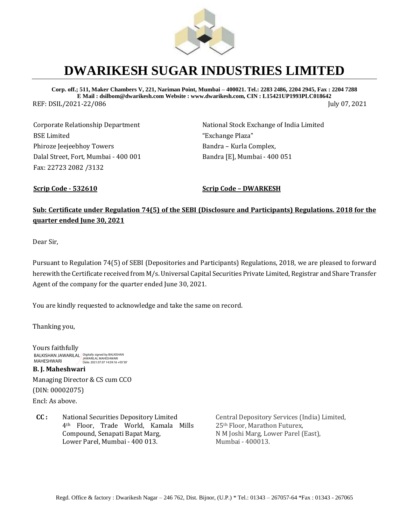

## **DWARIKESH SUGAR INDUSTRIES LIMITED**

**Corp. off.; 511, Maker Chambers V, 221, Nariman Point, Mumbai – 400021. Tel.: 2283 2486, 2204 2945, Fax : 2204 7288 E Mail : dsilbom@dwarikesh.com Website : www.dwarikesh.com, CIN : L15421UP1993PLC018642** REF: DSIL/2021-22/086 July 07, 2021

Corporate Relationship Department BSE Limited Phiroze Jeejeebhoy Towers Dalal Street, Fort, Mumbai - 400 001 Fax: 22723 2082 /3132

National Stock Exchange of India Limited "Exchange Plaza" Bandra – Kurla Complex, Bandra [E], Mumbai - 400 051

**Scrip Code - 532610 Scrip Code – DWARKESH**

## **Sub: Certificate under Regulation 74(5) of the SEBI (Disclosure and Participants) Regulations. 2018 for the quarter ended June 30, 2021**

Dear Sir,

Pursuant to Regulation 74(5) of SEBI (Depositories and Participants) Regulations, 2018, we are pleased to forward herewith the Certificate received from M/s. Universal Capital Securities Private Limited, Registrar and Share Transfer Agent of the company for the quarter ended June 30, 2021.

You are kindly requested to acknowledge and take the same on record.

Thanking you,

Yours faithfully **B. J. Maheshwari**  Managing Director & CS cum CCO BALKISHAN JAWARILAL Digitally signed by BALKISHAN MAHESHWARI Date: 2021.07.07 14:59:16 +05'30'

(DIN: 00002075)

Encl: As above.

**CC :** National Securities Depository Limited 4th Floor, Trade World, Kamala Mills Compound, Senapati Bapat Marg, Lower Parel, Mumbai - 400 013.

Central Depository Services (India) Limited, 25th Floor, Marathon Futurex, N M Joshi Marg, Lower Parel (East), Mumbai - 400013.